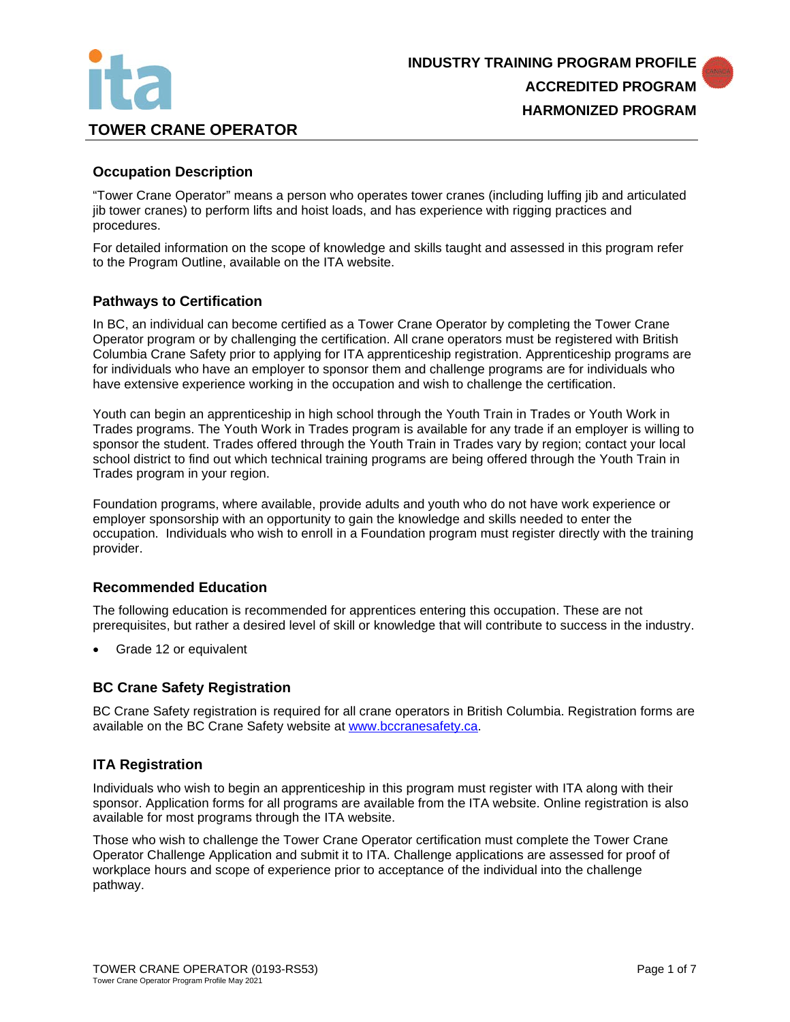

#### **Occupation Description**

"Tower Crane Operator" means a person who operates tower cranes (including luffing jib and articulated jib tower cranes) to perform lifts and hoist loads, and has experience with rigging practices and procedures.

For detailed information on the scope of knowledge and skills taught and assessed in this program refer to the Program Outline, available on the ITA website.

### **Pathways to Certification**

In BC, an individual can become certified as a Tower Crane Operator by completing the Tower Crane Operator program or by challenging the certification. All crane operators must be registered with British Columbia Crane Safety prior to applying for ITA apprenticeship registration. Apprenticeship programs are for individuals who have an employer to sponsor them and challenge programs are for individuals who have extensive experience working in the occupation and wish to challenge the certification.

Youth can begin an apprenticeship in high school through the Youth Train in Trades or Youth Work in Trades programs. The Youth Work in Trades program is available for any trade if an employer is willing to sponsor the student. Trades offered through the Youth Train in Trades vary by region; contact your local school district to find out which technical training programs are being offered through the Youth Train in Trades program in your region.

Foundation programs, where available, provide adults and youth who do not have work experience or employer sponsorship with an opportunity to gain the knowledge and skills needed to enter the occupation. Individuals who wish to enroll in a Foundation program must register directly with the training provider.

#### **Recommended Education**

The following education is recommended for apprentices entering this occupation. These are not prerequisites, but rather a desired level of skill or knowledge that will contribute to success in the industry.

• Grade 12 or equivalent

#### **BC Crane Safety Registration**

BC Crane Safety registration is required for all crane operators in British Columbia. Registration forms are available on the BC Crane Safety website at [www.bccranesafety.ca.](http://www.bccranesafety.ca/)

#### **ITA Registration**

Individuals who wish to begin an apprenticeship in this program must register with ITA along with their sponsor. Application forms for all programs are available from the ITA website. Online registration is also available for most programs through the ITA website.

Those who wish to challenge the Tower Crane Operator certification must complete the Tower Crane Operator Challenge Application and submit it to ITA. Challenge applications are assessed for proof of workplace hours and scope of experience prior to acceptance of the individual into the challenge pathway.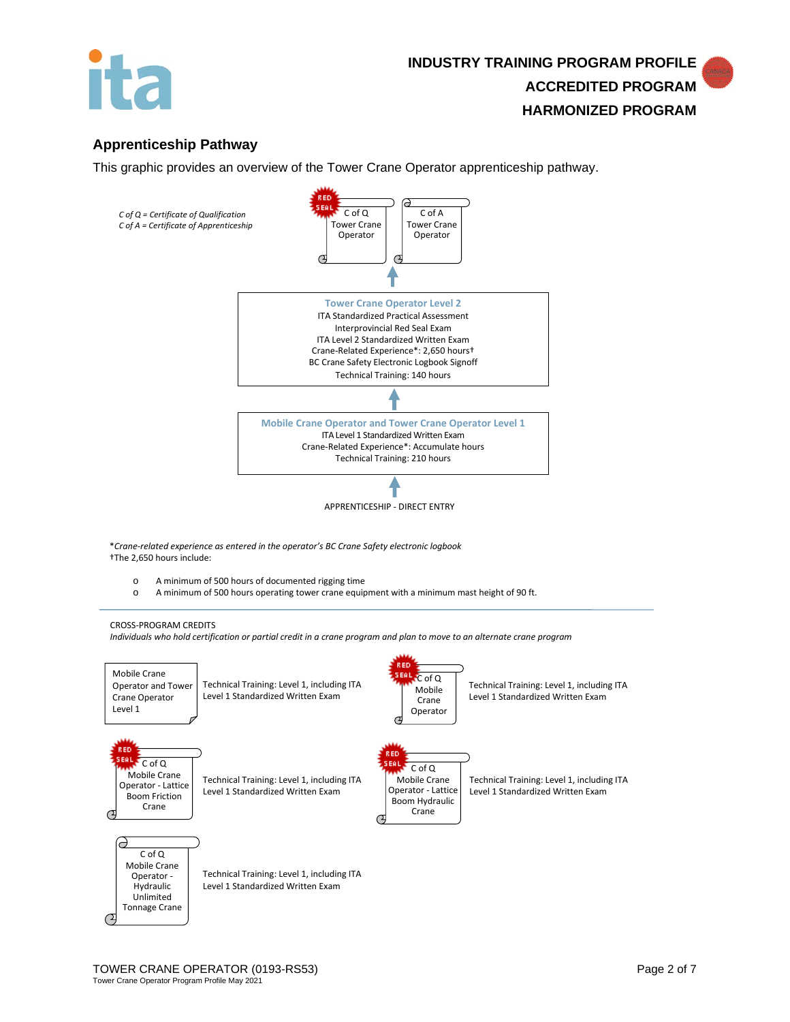

# **Apprenticeship Pathway**

This graphic provides an overview of the Tower Crane Operator apprenticeship pathway.

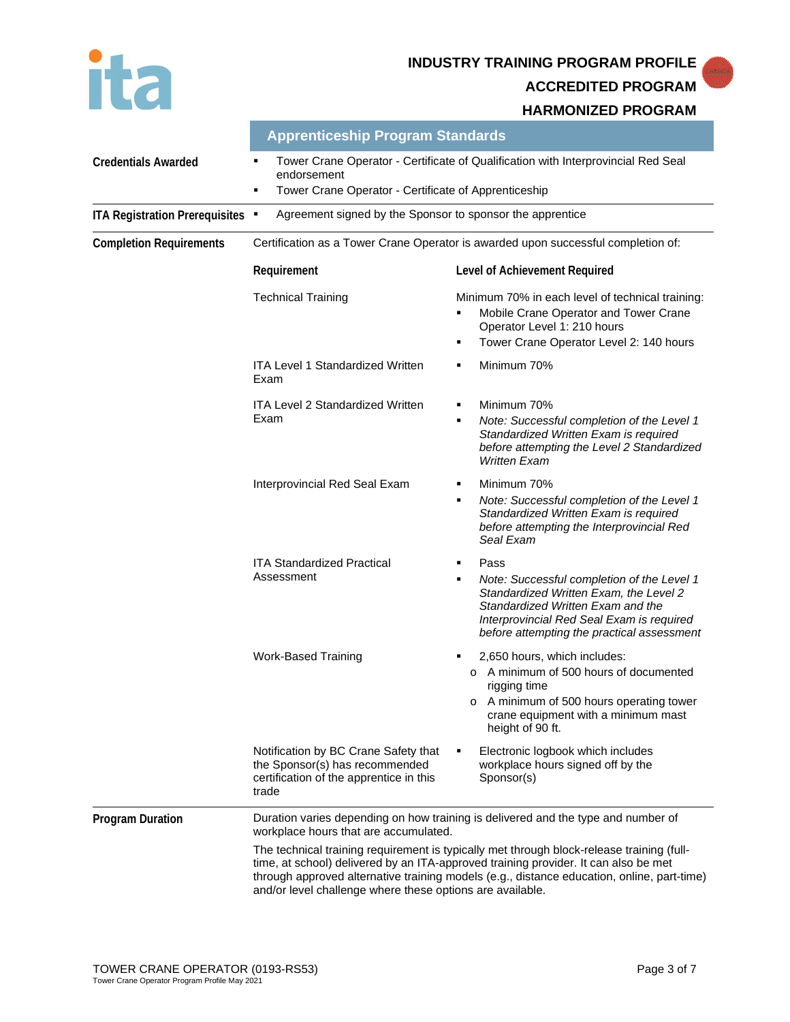# **INDUSTRY TRAINING PROGRAM PROFILE**

**ACCREDITED PROGRAM**

#### **HARMONIZED PROGRAM**

|                                  | <b>Apprenticeship Program Standards</b>                                                                                                                            |                                                                                                                                                                                                                                                                                                                                                                     |  |
|----------------------------------|--------------------------------------------------------------------------------------------------------------------------------------------------------------------|---------------------------------------------------------------------------------------------------------------------------------------------------------------------------------------------------------------------------------------------------------------------------------------------------------------------------------------------------------------------|--|
| <b>Credentials Awarded</b>       | Tower Crane Operator - Certificate of Qualification with Interprovincial Red Seal<br>٠<br>endorsement<br>Tower Crane Operator - Certificate of Apprenticeship<br>٠ |                                                                                                                                                                                                                                                                                                                                                                     |  |
| ITA Registration Prerequisites . | Agreement signed by the Sponsor to sponsor the apprentice                                                                                                          |                                                                                                                                                                                                                                                                                                                                                                     |  |
| <b>Completion Requirements</b>   | Certification as a Tower Crane Operator is awarded upon successful completion of:                                                                                  |                                                                                                                                                                                                                                                                                                                                                                     |  |
|                                  | Requirement                                                                                                                                                        | Level of Achievement Required                                                                                                                                                                                                                                                                                                                                       |  |
|                                  | <b>Technical Training</b>                                                                                                                                          | Minimum 70% in each level of technical training:<br>Mobile Crane Operator and Tower Crane<br>П<br>Operator Level 1: 210 hours<br>Tower Crane Operator Level 2: 140 hours<br>٠                                                                                                                                                                                       |  |
|                                  | <b>ITA Level 1 Standardized Written</b><br>Exam                                                                                                                    | Minimum 70%<br>٠                                                                                                                                                                                                                                                                                                                                                    |  |
|                                  | <b>ITA Level 2 Standardized Written</b><br>Exam                                                                                                                    | Minimum 70%<br>٠<br>Note: Successful completion of the Level 1<br>٠<br>Standardized Written Exam is required<br>before attempting the Level 2 Standardized<br><b>Written Exam</b>                                                                                                                                                                                   |  |
|                                  | Interprovincial Red Seal Exam                                                                                                                                      | Minimum 70%<br>٠<br>Note: Successful completion of the Level 1<br>П<br>Standardized Written Exam is required<br>before attempting the Interprovincial Red<br>Seal Exam                                                                                                                                                                                              |  |
|                                  | <b>ITA Standardized Practical</b><br>Assessment                                                                                                                    | Pass<br>٠<br>Note: Successful completion of the Level 1<br>П<br>Standardized Written Exam, the Level 2<br>Standardized Written Exam and the<br>Interprovincial Red Seal Exam is required<br>before attempting the practical assessment                                                                                                                              |  |
|                                  | <b>Work-Based Training</b>                                                                                                                                         | 2,650 hours, which includes:<br>o A minimum of 500 hours of documented<br>rigging time<br>o A minimum of 500 hours operating tower<br>crane equipment with a minimum mast<br>height of 90 ft.                                                                                                                                                                       |  |
|                                  | Notification by BC Crane Safety that<br>the Sponsor(s) has recommended<br>certification of the apprentice in this<br>trade                                         | Electronic logbook which includes<br>workplace hours signed off by the<br>Sponsor(s)                                                                                                                                                                                                                                                                                |  |
| <b>Program Duration</b>          | workplace hours that are accumulated.<br>and/or level challenge where these options are available.                                                                 | Duration varies depending on how training is delivered and the type and number of<br>The technical training requirement is typically met through block-release training (full-<br>time, at school) delivered by an ITA-approved training provider. It can also be met<br>through approved alternative training models (e.g., distance education, online, part-time) |  |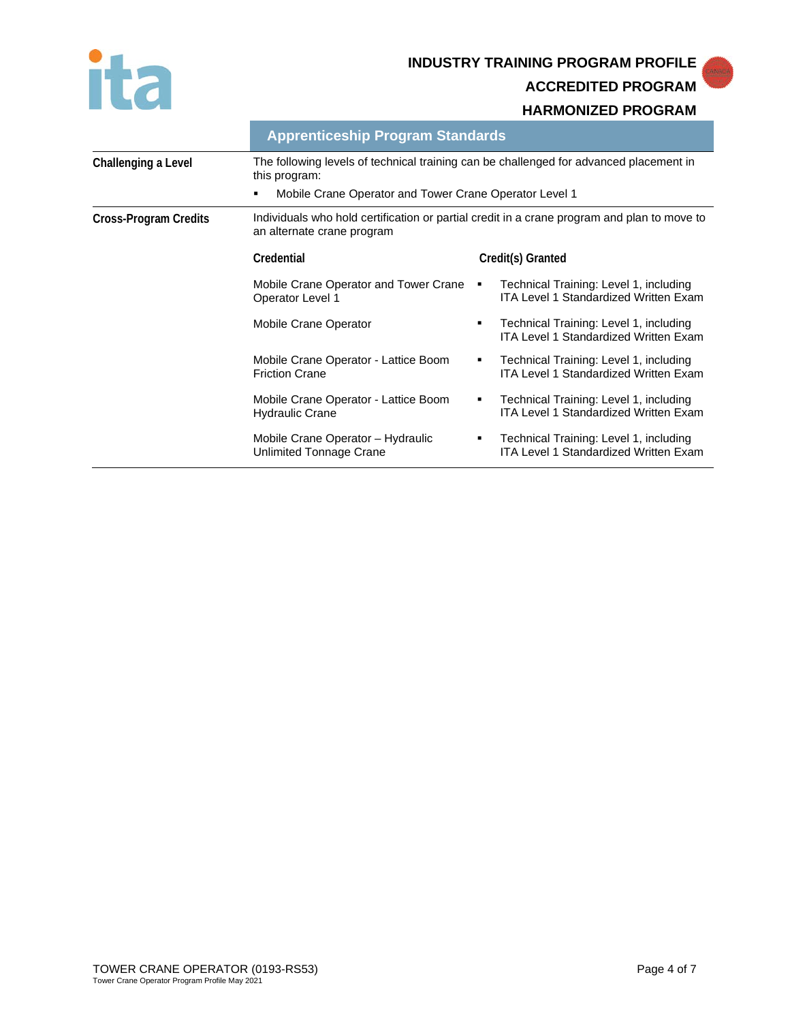

**INDUSTRY TRAINING PROGRAM PROFILE**

**ACCREDITED PROGRAM**

#### **HARMONIZED PROGRAM**

|                              | <b>Apprenticeship Program Standards</b>                                                                                                                           |   |                                                                                        |
|------------------------------|-------------------------------------------------------------------------------------------------------------------------------------------------------------------|---|----------------------------------------------------------------------------------------|
| Challenging a Level          | The following levels of technical training can be challenged for advanced placement in<br>this program:<br>Mobile Crane Operator and Tower Crane Operator Level 1 |   |                                                                                        |
| <b>Cross-Program Credits</b> | Individuals who hold certification or partial credit in a crane program and plan to move to<br>an alternate crane program                                         |   |                                                                                        |
|                              | Credential                                                                                                                                                        |   | Credit(s) Granted                                                                      |
|                              | Mobile Crane Operator and Tower Crane<br>Operator Level 1                                                                                                         | ٠ | Technical Training: Level 1, including<br><b>ITA Level 1 Standardized Written Exam</b> |
|                              | Mobile Crane Operator                                                                                                                                             | ٠ | Technical Training: Level 1, including<br><b>ITA Level 1 Standardized Written Exam</b> |
|                              | Mobile Crane Operator - Lattice Boom<br><b>Friction Crane</b>                                                                                                     | ٠ | Technical Training: Level 1, including<br><b>ITA Level 1 Standardized Written Exam</b> |
|                              | Mobile Crane Operator - Lattice Boom<br><b>Hydraulic Crane</b>                                                                                                    | ٠ | Technical Training: Level 1, including<br>ITA Level 1 Standardized Written Exam        |
|                              | Mobile Crane Operator - Hydraulic<br>Unlimited Tonnage Crane                                                                                                      | ٠ | Technical Training: Level 1, including<br><b>ITA Level 1 Standardized Written Exam</b> |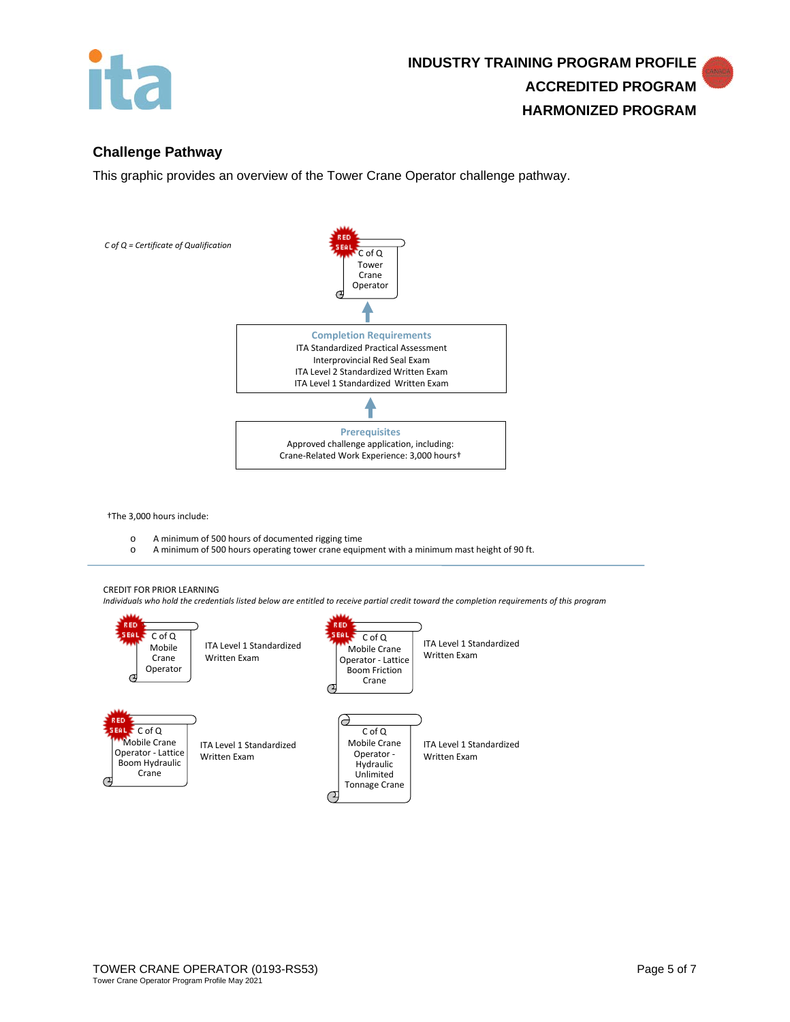

## **Challenge Pathway**

This graphic provides an overview of the Tower Crane Operator challenge pathway.



†The 3,000 hours include:

- o A minimum of 500 hours of documented rigging time
	- A minimum of 500 hours operating tower crane equipment with a minimum mast height of 90 ft.

#### CREDIT FOR PRIOR LEARNING

*Individuals who hold the credentials listed below are entitled to receive partial credit toward the completion requirements of this program*

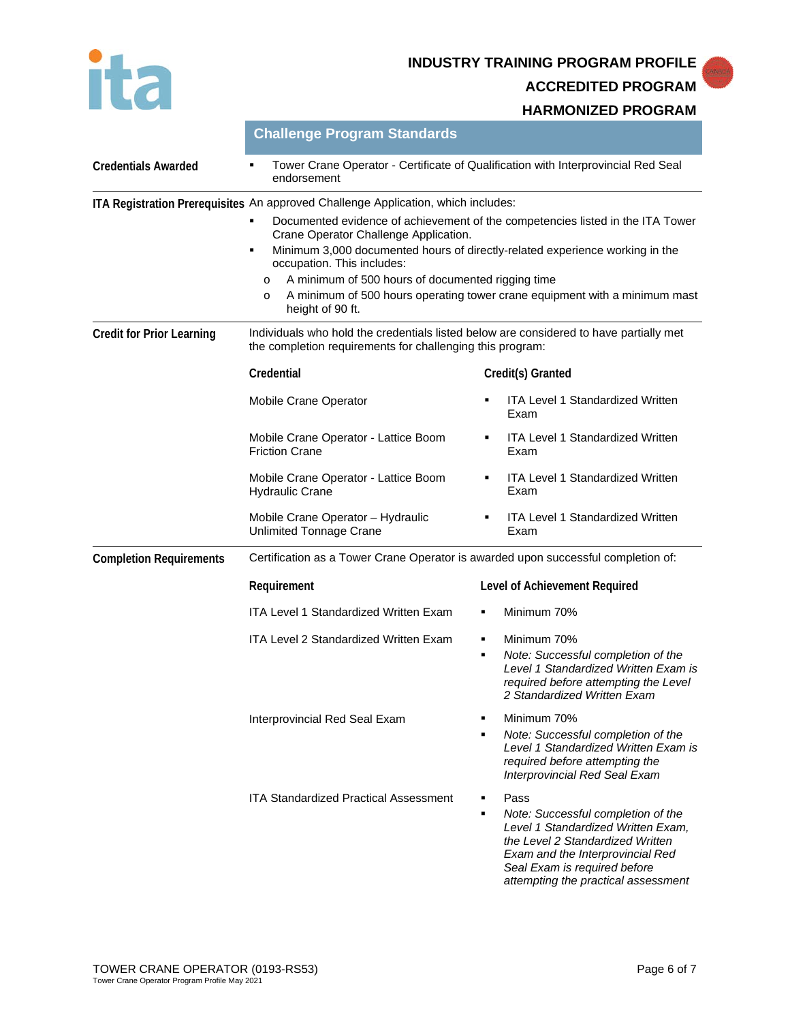ita

# **INDUSTRY TRAINING PROGRAM PROFILE**

**ACCREDITED PROGRAM**

**HARMONIZED PROGRAM**

|                                  | Challenge Program Standards<br>Tower Crane Operator - Certificate of Qualification with Interprovincial Red Seal<br>endorsement                                                                                                                                                                                                                                                                                                |        |                                                                                                                                                                                                                                 |
|----------------------------------|--------------------------------------------------------------------------------------------------------------------------------------------------------------------------------------------------------------------------------------------------------------------------------------------------------------------------------------------------------------------------------------------------------------------------------|--------|---------------------------------------------------------------------------------------------------------------------------------------------------------------------------------------------------------------------------------|
| <b>Credentials Awarded</b>       |                                                                                                                                                                                                                                                                                                                                                                                                                                |        |                                                                                                                                                                                                                                 |
|                                  | ITA Registration Prerequisites An approved Challenge Application, which includes:<br>Documented evidence of achievement of the competencies listed in the ITA Tower<br>Crane Operator Challenge Application.<br>Minimum 3,000 documented hours of directly-related experience working in the<br>٠<br>occupation. This includes:<br>A minimum of 500 hours of documented rigging time<br>$\circ$<br>$\circ$<br>height of 90 ft. |        | A minimum of 500 hours operating tower crane equipment with a minimum mast                                                                                                                                                      |
| <b>Credit for Prior Learning</b> | Individuals who hold the credentials listed below are considered to have partially met<br>the completion requirements for challenging this program:                                                                                                                                                                                                                                                                            |        |                                                                                                                                                                                                                                 |
|                                  | Credential                                                                                                                                                                                                                                                                                                                                                                                                                     |        | Credit(s) Granted                                                                                                                                                                                                               |
|                                  | Mobile Crane Operator                                                                                                                                                                                                                                                                                                                                                                                                          |        | <b>ITA Level 1 Standardized Written</b><br>Exam                                                                                                                                                                                 |
|                                  | Mobile Crane Operator - Lattice Boom<br><b>Friction Crane</b>                                                                                                                                                                                                                                                                                                                                                                  |        | <b>ITA Level 1 Standardized Written</b><br>Exam                                                                                                                                                                                 |
|                                  | Mobile Crane Operator - Lattice Boom<br><b>Hydraulic Crane</b>                                                                                                                                                                                                                                                                                                                                                                 |        | <b>ITA Level 1 Standardized Written</b><br>Exam                                                                                                                                                                                 |
|                                  | Mobile Crane Operator - Hydraulic<br><b>Unlimited Tonnage Crane</b>                                                                                                                                                                                                                                                                                                                                                            |        | <b>ITA Level 1 Standardized Written</b><br>Exam                                                                                                                                                                                 |
| <b>Completion Requirements</b>   | Certification as a Tower Crane Operator is awarded upon successful completion of:                                                                                                                                                                                                                                                                                                                                              |        |                                                                                                                                                                                                                                 |
|                                  | Requirement                                                                                                                                                                                                                                                                                                                                                                                                                    |        | Level of Achievement Required                                                                                                                                                                                                   |
|                                  | <b>ITA Level 1 Standardized Written Exam</b>                                                                                                                                                                                                                                                                                                                                                                                   |        | Minimum 70%                                                                                                                                                                                                                     |
|                                  | <b>ITA Level 2 Standardized Written Exam</b>                                                                                                                                                                                                                                                                                                                                                                                   | ٠<br>٠ | Minimum 70%<br>Note: Successful completion of the<br>Level 1 Standardized Written Exam is<br>required before attempting the Level<br>2 Standardized Written Exam                                                                |
|                                  | Interprovincial Red Seal Exam                                                                                                                                                                                                                                                                                                                                                                                                  |        | Minimum 70%<br>Note: Successful completion of the<br>Level 1 Standardized Written Exam is<br>required before attempting the<br>Interprovincial Red Seal Exam                                                                    |
|                                  | <b>ITA Standardized Practical Assessment</b>                                                                                                                                                                                                                                                                                                                                                                                   | ٠<br>٠ | Pass<br>Note: Successful completion of the<br>Level 1 Standardized Written Exam,<br>the Level 2 Standardized Written<br>Exam and the Interprovincial Red<br>Seal Exam is required before<br>attempting the practical assessment |